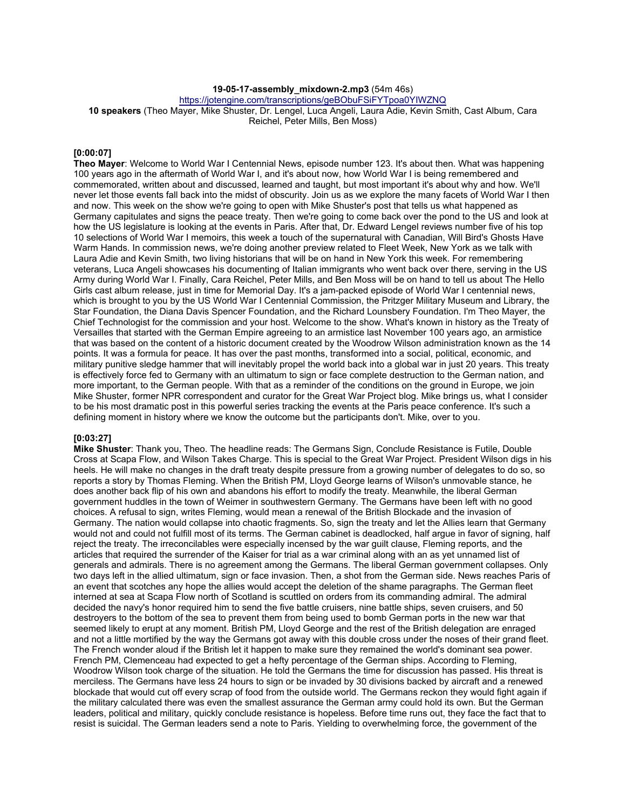# **19-05-17-assembly\_mixdown-2.mp3** (54m 46s)

https://jotengine.com/transcriptions/geBObuFSiFYTpoa0YIWZNQ

**10 speakers** (Theo Mayer, Mike Shuster, Dr. Lengel, Luca Angeli, Laura Adie, Kevin Smith, Cast Album, Cara Reichel, Peter Mills, Ben Moss)

## **[0:00:07]**

**Theo Mayer**: Welcome to World War I Centennial News, episode number 123. It's about then. What was happening 100 years ago in the aftermath of World War I, and it's about now, how World War I is being remembered and commemorated, written about and discussed, learned and taught, but most important it's about why and how. We'll never let those events fall back into the midst of obscurity. Join us as we explore the many facets of World War I then and now. This week on the show we're going to open with Mike Shuster's post that tells us what happened as Germany capitulates and signs the peace treaty. Then we're going to come back over the pond to the US and look at how the US legislature is looking at the events in Paris. After that, Dr. Edward Lengel reviews number five of his top 10 selections of World War I memoirs, this week a touch of the supernatural with Canadian, Will Bird's Ghosts Have Warm Hands. In commission news, we're doing another preview related to Fleet Week, New York as we talk with Laura Adie and Kevin Smith, two living historians that will be on hand in New York this week. For remembering veterans, Luca Angeli showcases his documenting of Italian immigrants who went back over there, serving in the US Army during World War I. Finally, Cara Reichel, Peter Mills, and Ben Moss will be on hand to tell us about The Hello Girls cast album release, just in time for Memorial Day. It's a jam-packed episode of World War I centennial news, which is brought to you by the US World War I Centennial Commission, the Pritzger Military Museum and Library, the Star Foundation, the Diana Davis Spencer Foundation, and the Richard Lounsbery Foundation. I'm Theo Mayer, the Chief Technologist for the commission and your host. Welcome to the show. What's known in history as the Treaty of Versailles that started with the German Empire agreeing to an armistice last November 100 years ago, an armistice that was based on the content of a historic document created by the Woodrow Wilson administration known as the 14 points. It was a formula for peace. It has over the past months, transformed into a social, political, economic, and military punitive sledge hammer that will inevitably propel the world back into a global war in just 20 years. This treaty is effectively force fed to Germany with an ultimatum to sign or face complete destruction to the German nation, and more important, to the German people. With that as a reminder of the conditions on the ground in Europe, we join Mike Shuster, former NPR correspondent and curator for the Great War Project blog. Mike brings us, what I consider to be his most dramatic post in this powerful series tracking the events at the Paris peace conference. It's such a defining moment in history where we know the outcome but the participants don't. Mike, over to you.

# **[0:03:27]**

**Mike Shuster**: Thank you, Theo. The headline reads: The Germans Sign, Conclude Resistance is Futile, Double Cross at Scapa Flow, and Wilson Takes Charge. This is special to the Great War Project. President Wilson digs in his heels. He will make no changes in the draft treaty despite pressure from a growing number of delegates to do so, so reports a story by Thomas Fleming. When the British PM, Lloyd George learns of Wilson's unmovable stance, he does another back flip of his own and abandons his effort to modify the treaty. Meanwhile, the liberal German government huddles in the town of Weimer in southwestern Germany. The Germans have been left with no good choices. A refusal to sign, writes Fleming, would mean a renewal of the British Blockade and the invasion of Germany. The nation would collapse into chaotic fragments. So, sign the treaty and let the Allies learn that Germany would not and could not fulfill most of its terms. The German cabinet is deadlocked, half argue in favor of signing, half reject the treaty. The irreconcilables were especially incensed by the war guilt clause, Fleming reports, and the articles that required the surrender of the Kaiser for trial as a war criminal along with an as yet unnamed list of generals and admirals. There is no agreement among the Germans. The liberal German government collapses. Only two days left in the allied ultimatum, sign or face invasion. Then, a shot from the German side. News reaches Paris of an event that scotches any hope the allies would accept the deletion of the shame paragraphs. The German fleet interned at sea at Scapa Flow north of Scotland is scuttled on orders from its commanding admiral. The admiral decided the navy's honor required him to send the five battle cruisers, nine battle ships, seven cruisers, and 50 destroyers to the bottom of the sea to prevent them from being used to bomb German ports in the new war that seemed likely to erupt at any moment. British PM, Lloyd George and the rest of the British delegation are enraged and not a little mortified by the way the Germans got away with this double cross under the noses of their grand fleet. The French wonder aloud if the British let it happen to make sure they remained the world's dominant sea power. French PM, Clemenceau had expected to get a hefty percentage of the German ships. According to Fleming, Woodrow Wilson took charge of the situation. He told the Germans the time for discussion has passed. His threat is merciless. The Germans have less 24 hours to sign or be invaded by 30 divisions backed by aircraft and a renewed blockade that would cut off every scrap of food from the outside world. The Germans reckon they would fight again if the military calculated there was even the smallest assurance the German army could hold its own. But the German leaders, political and military, quickly conclude resistance is hopeless. Before time runs out, they face the fact that to resist is suicidal. The German leaders send a note to Paris. Yielding to overwhelming force, the government of the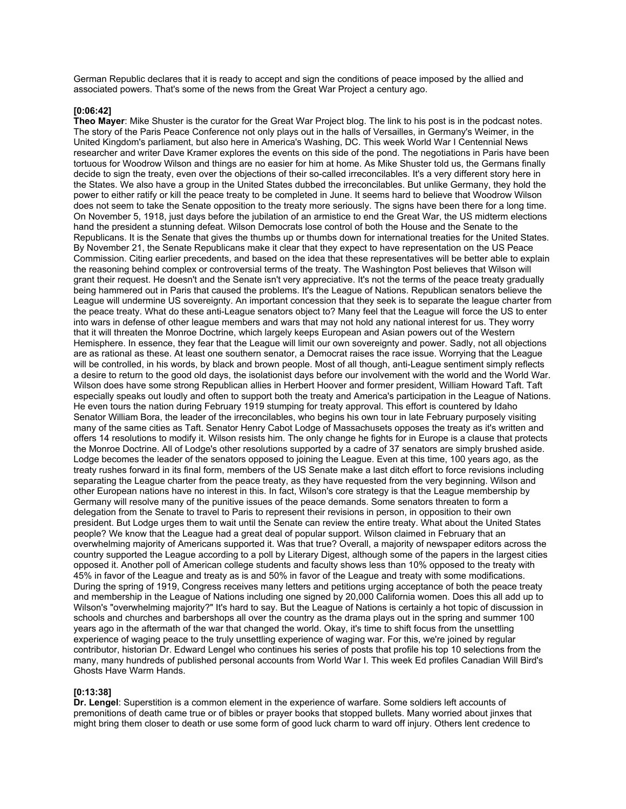German Republic declares that it is ready to accept and sign the conditions of peace imposed by the allied and associated powers. That's some of the news from the Great War Project a century ago.

### **[0:06:42]**

**Theo Mayer**: Mike Shuster is the curator for the Great War Project blog. The link to his post is in the podcast notes. The story of the Paris Peace Conference not only plays out in the halls of Versailles, in Germany's Weimer, in the United Kingdom's parliament, but also here in America's Washing, DC. This week World War I Centennial News researcher and writer Dave Kramer explores the events on this side of the pond. The negotiations in Paris have been tortuous for Woodrow Wilson and things are no easier for him at home. As Mike Shuster told us, the Germans finally decide to sign the treaty, even over the objections of their so-called irreconcilables. It's a very different story here in the States. We also have a group in the United States dubbed the irreconcilables. But unlike Germany, they hold the power to either ratify or kill the peace treaty to be completed in June. It seems hard to believe that Woodrow Wilson does not seem to take the Senate opposition to the treaty more seriously. The signs have been there for a long time. On November 5, 1918, just days before the jubilation of an armistice to end the Great War, the US midterm elections hand the president a stunning defeat. Wilson Democrats lose control of both the House and the Senate to the Republicans. It is the Senate that gives the thumbs up or thumbs down for international treaties for the United States. By November 21, the Senate Republicans make it clear that they expect to have representation on the US Peace Commission. Citing earlier precedents, and based on the idea that these representatives will be better able to explain the reasoning behind complex or controversial terms of the treaty. The Washington Post believes that Wilson will grant their request. He doesn't and the Senate isn't very appreciative. It's not the terms of the peace treaty gradually being hammered out in Paris that caused the problems. It's the League of Nations. Republican senators believe the League will undermine US sovereignty. An important concession that they seek is to separate the league charter from the peace treaty. What do these anti-League senators object to? Many feel that the League will force the US to enter into wars in defense of other league members and wars that may not hold any national interest for us. They worry that it will threaten the Monroe Doctrine, which largely keeps European and Asian powers out of the Western Hemisphere. In essence, they fear that the League will limit our own sovereignty and power. Sadly, not all objections are as rational as these. At least one southern senator, a Democrat raises the race issue. Worrying that the League will be controlled, in his words, by black and brown people. Most of all though, anti-League sentiment simply reflects a desire to return to the good old days, the isolationist days before our involvement with the world and the World War. Wilson does have some strong Republican allies in Herbert Hoover and former president, William Howard Taft. Taft especially speaks out loudly and often to support both the treaty and America's participation in the League of Nations. He even tours the nation during February 1919 stumping for treaty approval. This effort is countered by Idaho Senator William Bora, the leader of the irreconcilables, who begins his own tour in late February purposely visiting many of the same cities as Taft. Senator Henry Cabot Lodge of Massachusets opposes the treaty as it's written and offers 14 resolutions to modify it. Wilson resists him. The only change he fights for in Europe is a clause that protects the Monroe Doctrine. All of Lodge's other resolutions supported by a cadre of 37 senators are simply brushed aside. Lodge becomes the leader of the senators opposed to joining the League. Even at this time, 100 years ago, as the treaty rushes forward in its final form, members of the US Senate make a last ditch effort to force revisions including separating the League charter from the peace treaty, as they have requested from the very beginning. Wilson and other European nations have no interest in this. In fact, Wilson's core strategy is that the League membership by Germany will resolve many of the punitive issues of the peace demands. Some senators threaten to form a delegation from the Senate to travel to Paris to represent their revisions in person, in opposition to their own president. But Lodge urges them to wait until the Senate can review the entire treaty. What about the United States people? We know that the League had a great deal of popular support. Wilson claimed in February that an overwhelming majority of Americans supported it. Was that true? Overall, a majority of newspaper editors across the country supported the League according to a poll by Literary Digest, although some of the papers in the largest cities opposed it. Another poll of American college students and faculty shows less than 10% opposed to the treaty with 45% in favor of the League and treaty as is and 50% in favor of the League and treaty with some modifications. During the spring of 1919, Congress receives many letters and petitions urging acceptance of both the peace treaty and membership in the League of Nations including one signed by 20,000 California women. Does this all add up to Wilson's "overwhelming majority?" It's hard to say. But the League of Nations is certainly a hot topic of discussion in schools and churches and barbershops all over the country as the drama plays out in the spring and summer 100 years ago in the aftermath of the war that changed the world. Okay, it's time to shift focus from the unsettling experience of waging peace to the truly unsettling experience of waging war. For this, we're joined by regular contributor, historian Dr. Edward Lengel who continues his series of posts that profile his top 10 selections from the many, many hundreds of published personal accounts from World War I. This week Ed profiles Canadian Will Bird's Ghosts Have Warm Hands.

#### **[0:13:38]**

**Dr. Lengel**: Superstition is a common element in the experience of warfare. Some soldiers left accounts of premonitions of death came true or of bibles or prayer books that stopped bullets. Many worried about jinxes that might bring them closer to death or use some form of good luck charm to ward off injury. Others lent credence to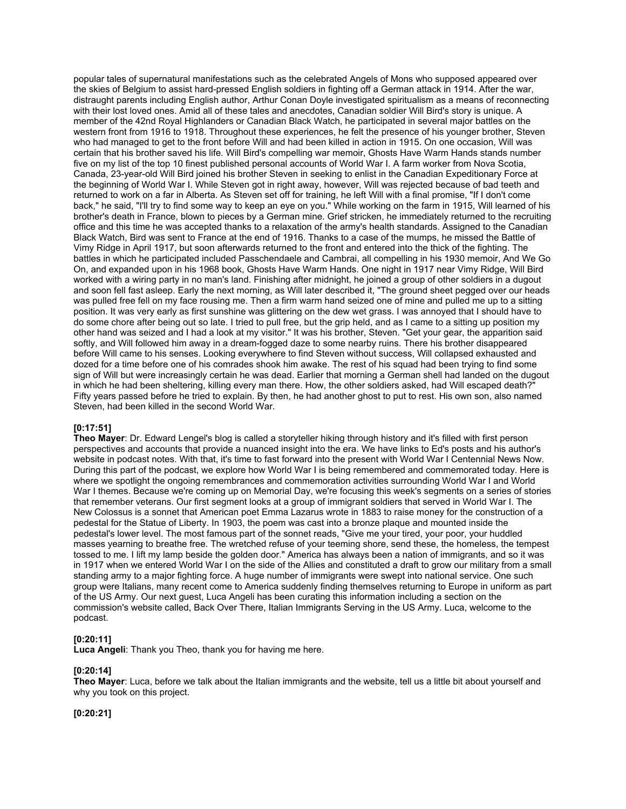popular tales of supernatural manifestations such as the celebrated Angels of Mons who supposed appeared over the skies of Belgium to assist hard-pressed English soldiers in fighting off a German attack in 1914. After the war, distraught parents including English author, Arthur Conan Doyle investigated spiritualism as a means of reconnecting with their lost loved ones. Amid all of these tales and anecdotes, Canadian soldier Will Bird's story is unique. A member of the 42nd Royal Highlanders or Canadian Black Watch, he participated in several major battles on the western front from 1916 to 1918. Throughout these experiences, he felt the presence of his younger brother, Steven who had managed to get to the front before Will and had been killed in action in 1915. On one occasion, Will was certain that his brother saved his life. Will Bird's compelling war memoir, Ghosts Have Warm Hands stands number five on my list of the top 10 finest published personal accounts of World War I. A farm worker from Nova Scotia, Canada, 23-year-old Will Bird joined his brother Steven in seeking to enlist in the Canadian Expeditionary Force at the beginning of World War I. While Steven got in right away, however, Will was rejected because of bad teeth and returned to work on a far in Alberta. As Steven set off for training, he left Will with a final promise, "If I don't come back," he said, "I'll try to find some way to keep an eye on you." While working on the farm in 1915, Will learned of his brother's death in France, blown to pieces by a German mine. Grief stricken, he immediately returned to the recruiting office and this time he was accepted thanks to a relaxation of the army's health standards. Assigned to the Canadian Black Watch, Bird was sent to France at the end of 1916. Thanks to a case of the mumps, he missed the Battle of Vimy Ridge in April 1917, but soon afterwards returned to the front and entered into the thick of the fighting. The battles in which he participated included Passchendaele and Cambrai, all compelling in his 1930 memoir, And We Go On, and expanded upon in his 1968 book, Ghosts Have Warm Hands. One night in 1917 near Vimy Ridge, Will Bird worked with a wiring party in no man's land. Finishing after midnight, he joined a group of other soldiers in a dugout and soon fell fast asleep. Early the next morning, as Will later described it, "The ground sheet pegged over our heads was pulled free fell on my face rousing me. Then a firm warm hand seized one of mine and pulled me up to a sitting position. It was very early as first sunshine was glittering on the dew wet grass. I was annoyed that I should have to do some chore after being out so late. I tried to pull free, but the grip held, and as I came to a sitting up position my other hand was seized and I had a look at my visitor." It was his brother, Steven. "Get your gear, the apparition said softly, and Will followed him away in a dream-fogged daze to some nearby ruins. There his brother disappeared before Will came to his senses. Looking everywhere to find Steven without success, Will collapsed exhausted and dozed for a time before one of his comrades shook him awake. The rest of his squad had been trying to find some sign of Will but were increasingly certain he was dead. Earlier that morning a German shell had landed on the dugout in which he had been sheltering, killing every man there. How, the other soldiers asked, had Will escaped death?" Fifty years passed before he tried to explain. By then, he had another ghost to put to rest. His own son, also named Steven, had been killed in the second World War.

## **[0:17:51]**

**Theo Mayer**: Dr. Edward Lengel's blog is called a storyteller hiking through history and it's filled with first person perspectives and accounts that provide a nuanced insight into the era. We have links to Ed's posts and his author's website in podcast notes. With that, it's time to fast forward into the present with World War I Centennial News Now. During this part of the podcast, we explore how World War I is being remembered and commemorated today. Here is where we spotlight the ongoing remembrances and commemoration activities surrounding World War I and World War I themes. Because we're coming up on Memorial Day, we're focusing this week's segments on a series of stories that remember veterans. Our first segment looks at a group of immigrant soldiers that served in World War I. The New Colossus is a sonnet that American poet Emma Lazarus wrote in 1883 to raise money for the construction of a pedestal for the Statue of Liberty. In 1903, the poem was cast into a bronze plaque and mounted inside the pedestal's lower level. The most famous part of the sonnet reads, "Give me your tired, your poor, your huddled masses yearning to breathe free. The wretched refuse of your teeming shore, send these, the homeless, the tempest tossed to me. I lift my lamp beside the golden door." America has always been a nation of immigrants, and so it was in 1917 when we entered World War I on the side of the Allies and constituted a draft to grow our military from a small standing army to a major fighting force. A huge number of immigrants were swept into national service. One such group were Italians, many recent come to America suddenly finding themselves returning to Europe in uniform as part of the US Army. Our next guest, Luca Angeli has been curating this information including a section on the commission's website called, Back Over There, Italian Immigrants Serving in the US Army. Luca, welcome to the podcast.

## **[0:20:11]**

**Luca Angeli**: Thank you Theo, thank you for having me here.

## **[0:20:14]**

**Theo Mayer**: Luca, before we talk about the Italian immigrants and the website, tell us a little bit about yourself and why you took on this project.

## **[0:20:21]**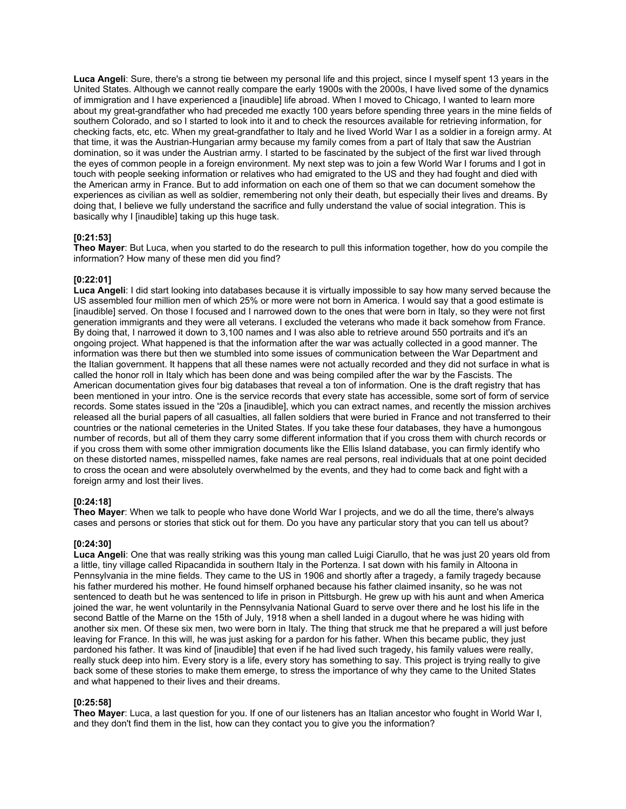**Luca Angeli**: Sure, there's a strong tie between my personal life and this project, since I myself spent 13 years in the United States. Although we cannot really compare the early 1900s with the 2000s, I have lived some of the dynamics of immigration and I have experienced a [inaudible] life abroad. When I moved to Chicago, I wanted to learn more about my great-grandfather who had preceded me exactly 100 years before spending three years in the mine fields of southern Colorado, and so I started to look into it and to check the resources available for retrieving information, for checking facts, etc, etc. When my great-grandfather to Italy and he lived World War I as a soldier in a foreign army. At that time, it was the Austrian-Hungarian army because my family comes from a part of Italy that saw the Austrian domination, so it was under the Austrian army. I started to be fascinated by the subject of the first war lived through the eyes of common people in a foreign environment. My next step was to join a few World War I forums and I got in touch with people seeking information or relatives who had emigrated to the US and they had fought and died with the American army in France. But to add information on each one of them so that we can document somehow the experiences as civilian as well as soldier, remembering not only their death, but especially their lives and dreams. By doing that, I believe we fully understand the sacrifice and fully understand the value of social integration. This is basically why I [inaudible] taking up this huge task.

## **[0:21:53]**

**Theo Mayer**: But Luca, when you started to do the research to pull this information together, how do you compile the information? How many of these men did you find?

## **[0:22:01]**

**Luca Angeli**: I did start looking into databases because it is virtually impossible to say how many served because the US assembled four million men of which 25% or more were not born in America. I would say that a good estimate is [inaudible] served. On those I focused and I narrowed down to the ones that were born in Italy, so they were not first generation immigrants and they were all veterans. I excluded the veterans who made it back somehow from France. By doing that, I narrowed it down to 3,100 names and I was also able to retrieve around 550 portraits and it's an ongoing project. What happened is that the information after the war was actually collected in a good manner. The information was there but then we stumbled into some issues of communication between the War Department and the Italian government. It happens that all these names were not actually recorded and they did not surface in what is called the honor roll in Italy which has been done and was being compiled after the war by the Fascists. The American documentation gives four big databases that reveal a ton of information. One is the draft registry that has been mentioned in your intro. One is the service records that every state has accessible, some sort of form of service records. Some states issued in the '20s a [inaudible], which you can extract names, and recently the mission archives released all the burial papers of all casualties, all fallen soldiers that were buried in France and not transferred to their countries or the national cemeteries in the United States. If you take these four databases, they have a humongous number of records, but all of them they carry some different information that if you cross them with church records or if you cross them with some other immigration documents like the Ellis Island database, you can firmly identify who on these distorted names, misspelled names, fake names are real persons, real individuals that at one point decided to cross the ocean and were absolutely overwhelmed by the events, and they had to come back and fight with a foreign army and lost their lives.

## **[0:24:18]**

**Theo Mayer**: When we talk to people who have done World War I projects, and we do all the time, there's always cases and persons or stories that stick out for them. Do you have any particular story that you can tell us about?

## **[0:24:30]**

**Luca Angeli**: One that was really striking was this young man called Luigi Ciarullo, that he was just 20 years old from a little, tiny village called Ripacandida in southern Italy in the Portenza. I sat down with his family in Altoona in Pennsylvania in the mine fields. They came to the US in 1906 and shortly after a tragedy, a family tragedy because his father murdered his mother. He found himself orphaned because his father claimed insanity, so he was not sentenced to death but he was sentenced to life in prison in Pittsburgh. He grew up with his aunt and when America joined the war, he went voluntarily in the Pennsylvania National Guard to serve over there and he lost his life in the second Battle of the Marne on the 15th of July, 1918 when a shell landed in a dugout where he was hiding with another six men. Of these six men, two were born in Italy. The thing that struck me that he prepared a will just before leaving for France. In this will, he was just asking for a pardon for his father. When this became public, they just pardoned his father. It was kind of [inaudible] that even if he had lived such tragedy, his family values were really, really stuck deep into him. Every story is a life, every story has something to say. This project is trying really to give back some of these stories to make them emerge, to stress the importance of why they came to the United States and what happened to their lives and their dreams.

# **[0:25:58]**

**Theo Mayer**: Luca, a last question for you. If one of our listeners has an Italian ancestor who fought in World War I, and they don't find them in the list, how can they contact you to give you the information?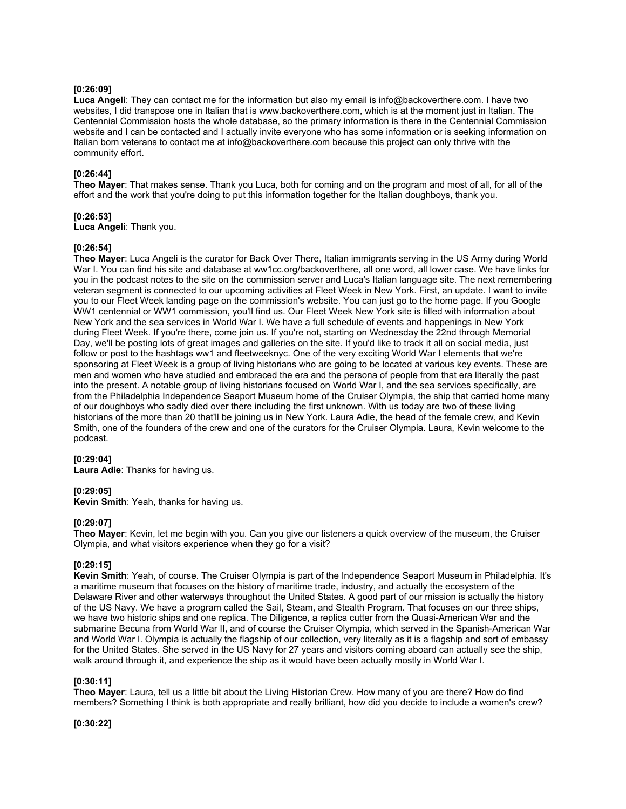## **[0:26:09]**

**Luca Angeli**: They can contact me for the information but also my email is info@backoverthere.com. I have two websites, I did transpose one in Italian that is www.backoverthere.com, which is at the moment just in Italian. The Centennial Commission hosts the whole database, so the primary information is there in the Centennial Commission website and I can be contacted and I actually invite everyone who has some information or is seeking information on Italian born veterans to contact me at info@backoverthere.com because this project can only thrive with the community effort.

## **[0:26:44]**

**Theo Mayer**: That makes sense. Thank you Luca, both for coming and on the program and most of all, for all of the effort and the work that you're doing to put this information together for the Italian doughboys, thank you.

## **[0:26:53]**

**Luca Angeli**: Thank you.

## **[0:26:54]**

**Theo Mayer**: Luca Angeli is the curator for Back Over There, Italian immigrants serving in the US Army during World War I. You can find his site and database at ww1cc.org/backoverthere, all one word, all lower case. We have links for you in the podcast notes to the site on the commission server and Luca's Italian language site. The next remembering veteran segment is connected to our upcoming activities at Fleet Week in New York. First, an update. I want to invite you to our Fleet Week landing page on the commission's website. You can just go to the home page. If you Google WW1 centennial or WW1 commission, you'll find us. Our Fleet Week New York site is filled with information about New York and the sea services in World War I. We have a full schedule of events and happenings in New York during Fleet Week. If you're there, come join us. If you're not, starting on Wednesday the 22nd through Memorial Day, we'll be posting lots of great images and galleries on the site. If you'd like to track it all on social media, just follow or post to the hashtags ww1 and fleetweeknyc. One of the very exciting World War I elements that we're sponsoring at Fleet Week is a group of living historians who are going to be located at various key events. These are men and women who have studied and embraced the era and the persona of people from that era literally the past into the present. A notable group of living historians focused on World War I, and the sea services specifically, are from the Philadelphia Independence Seaport Museum home of the Cruiser Olympia, the ship that carried home many of our doughboys who sadly died over there including the first unknown. With us today are two of these living historians of the more than 20 that'll be joining us in New York. Laura Adie, the head of the female crew, and Kevin Smith, one of the founders of the crew and one of the curators for the Cruiser Olympia. Laura, Kevin welcome to the podcast.

## **[0:29:04]**

**Laura Adie**: Thanks for having us.

## **[0:29:05]**

**Kevin Smith**: Yeah, thanks for having us.

## **[0:29:07]**

**Theo Mayer**: Kevin, let me begin with you. Can you give our listeners a quick overview of the museum, the Cruiser Olympia, and what visitors experience when they go for a visit?

# **[0:29:15]**

**Kevin Smith**: Yeah, of course. The Cruiser Olympia is part of the Independence Seaport Museum in Philadelphia. It's a maritime museum that focuses on the history of maritime trade, industry, and actually the ecosystem of the Delaware River and other waterways throughout the United States. A good part of our mission is actually the history of the US Navy. We have a program called the Sail, Steam, and Stealth Program. That focuses on our three ships, we have two historic ships and one replica. The Diligence, a replica cutter from the Quasi-American War and the submarine Becuna from World War II, and of course the Cruiser Olympia, which served in the Spanish-American War and World War I. Olympia is actually the flagship of our collection, very literally as it is a flagship and sort of embassy for the United States. She served in the US Navy for 27 years and visitors coming aboard can actually see the ship, walk around through it, and experience the ship as it would have been actually mostly in World War I.

## **[0:30:11]**

**Theo Mayer**: Laura, tell us a little bit about the Living Historian Crew. How many of you are there? How do find members? Something I think is both appropriate and really brilliant, how did you decide to include a women's crew?

**[0:30:22]**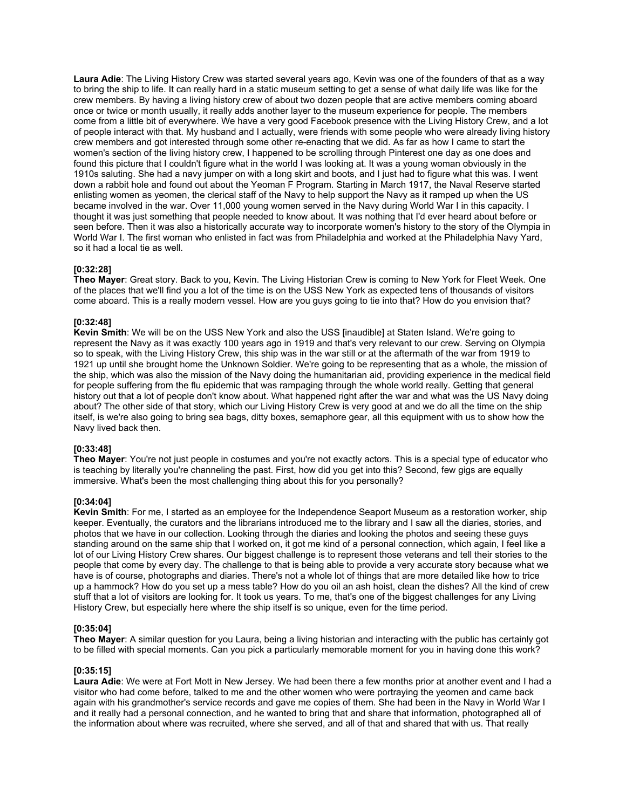**Laura Adie**: The Living History Crew was started several years ago, Kevin was one of the founders of that as a way to bring the ship to life. It can really hard in a static museum setting to get a sense of what daily life was like for the crew members. By having a living history crew of about two dozen people that are active members coming aboard once or twice or month usually, it really adds another layer to the museum experience for people. The members come from a little bit of everywhere. We have a very good Facebook presence with the Living History Crew, and a lot of people interact with that. My husband and I actually, were friends with some people who were already living history crew members and got interested through some other re-enacting that we did. As far as how I came to start the women's section of the living history crew, I happened to be scrolling through Pinterest one day as one does and found this picture that I couldn't figure what in the world I was looking at. It was a young woman obviously in the 1910s saluting. She had a navy jumper on with a long skirt and boots, and I just had to figure what this was. I went down a rabbit hole and found out about the Yeoman F Program. Starting in March 1917, the Naval Reserve started enlisting women as yeomen, the clerical staff of the Navy to help support the Navy as it ramped up when the US became involved in the war. Over 11,000 young women served in the Navy during World War I in this capacity. I thought it was just something that people needed to know about. It was nothing that I'd ever heard about before or seen before. Then it was also a historically accurate way to incorporate women's history to the story of the Olympia in World War I. The first woman who enlisted in fact was from Philadelphia and worked at the Philadelphia Navy Yard, so it had a local tie as well.

## **[0:32:28]**

**Theo Mayer**: Great story. Back to you, Kevin. The Living Historian Crew is coming to New York for Fleet Week. One of the places that we'll find you a lot of the time is on the USS New York as expected tens of thousands of visitors come aboard. This is a really modern vessel. How are you guys going to tie into that? How do you envision that?

## **[0:32:48]**

**Kevin Smith**: We will be on the USS New York and also the USS [inaudible] at Staten Island. We're going to represent the Navy as it was exactly 100 years ago in 1919 and that's very relevant to our crew. Serving on Olympia so to speak, with the Living History Crew, this ship was in the war still or at the aftermath of the war from 1919 to 1921 up until she brought home the Unknown Soldier. We're going to be representing that as a whole, the mission of the ship, which was also the mission of the Navy doing the humanitarian aid, providing experience in the medical field for people suffering from the flu epidemic that was rampaging through the whole world really. Getting that general history out that a lot of people don't know about. What happened right after the war and what was the US Navy doing about? The other side of that story, which our Living History Crew is very good at and we do all the time on the ship itself, is we're also going to bring sea bags, ditty boxes, semaphore gear, all this equipment with us to show how the Navy lived back then.

## **[0:33:48]**

**Theo Mayer**: You're not just people in costumes and you're not exactly actors. This is a special type of educator who is teaching by literally you're channeling the past. First, how did you get into this? Second, few gigs are equally immersive. What's been the most challenging thing about this for you personally?

## **[0:34:04]**

**Kevin Smith**: For me, I started as an employee for the Independence Seaport Museum as a restoration worker, ship keeper. Eventually, the curators and the librarians introduced me to the library and I saw all the diaries, stories, and photos that we have in our collection. Looking through the diaries and looking the photos and seeing these guys standing around on the same ship that I worked on, it got me kind of a personal connection, which again, I feel like a lot of our Living History Crew shares. Our biggest challenge is to represent those veterans and tell their stories to the people that come by every day. The challenge to that is being able to provide a very accurate story because what we have is of course, photographs and diaries. There's not a whole lot of things that are more detailed like how to trice up a hammock? How do you set up a mess table? How do you oil an ash hoist, clean the dishes? All the kind of crew stuff that a lot of visitors are looking for. It took us years. To me, that's one of the biggest challenges for any Living History Crew, but especially here where the ship itself is so unique, even for the time period.

## **[0:35:04]**

**Theo Mayer**: A similar question for you Laura, being a living historian and interacting with the public has certainly got to be filled with special moments. Can you pick a particularly memorable moment for you in having done this work?

## **[0:35:15]**

**Laura Adie**: We were at Fort Mott in New Jersey. We had been there a few months prior at another event and I had a visitor who had come before, talked to me and the other women who were portraying the yeomen and came back again with his grandmother's service records and gave me copies of them. She had been in the Navy in World War I and it really had a personal connection, and he wanted to bring that and share that information, photographed all of the information about where was recruited, where she served, and all of that and shared that with us. That really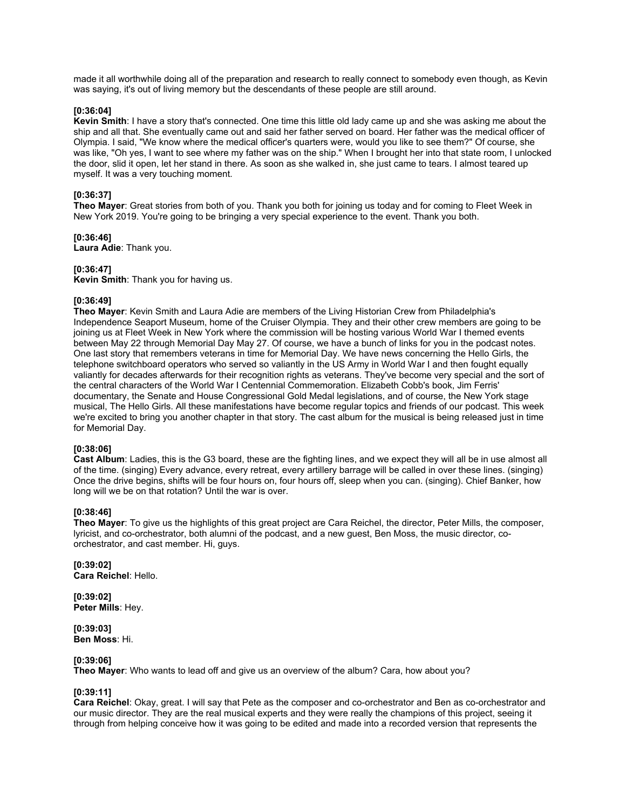made it all worthwhile doing all of the preparation and research to really connect to somebody even though, as Kevin was saying, it's out of living memory but the descendants of these people are still around.

### **[0:36:04]**

**Kevin Smith**: I have a story that's connected. One time this little old lady came up and she was asking me about the ship and all that. She eventually came out and said her father served on board. Her father was the medical officer of Olympia. I said, "We know where the medical officer's quarters were, would you like to see them?" Of course, she was like, "Oh yes, I want to see where my father was on the ship." When I brought her into that state room, I unlocked the door, slid it open, let her stand in there. As soon as she walked in, she just came to tears. I almost teared up myself. It was a very touching moment.

## **[0:36:37]**

**Theo Mayer**: Great stories from both of you. Thank you both for joining us today and for coming to Fleet Week in New York 2019. You're going to be bringing a very special experience to the event. Thank you both.

### **[0:36:46]**

**Laura Adie**: Thank you.

### **[0:36:47]**

**Kevin Smith**: Thank you for having us.

### **[0:36:49]**

**Theo Mayer**: Kevin Smith and Laura Adie are members of the Living Historian Crew from Philadelphia's Independence Seaport Museum, home of the Cruiser Olympia. They and their other crew members are going to be joining us at Fleet Week in New York where the commission will be hosting various World War I themed events between May 22 through Memorial Day May 27. Of course, we have a bunch of links for you in the podcast notes. One last story that remembers veterans in time for Memorial Day. We have news concerning the Hello Girls, the telephone switchboard operators who served so valiantly in the US Army in World War I and then fought equally valiantly for decades afterwards for their recognition rights as veterans. They've become very special and the sort of the central characters of the World War I Centennial Commemoration. Elizabeth Cobb's book, Jim Ferris' documentary, the Senate and House Congressional Gold Medal legislations, and of course, the New York stage musical, The Hello Girls. All these manifestations have become regular topics and friends of our podcast. This week we're excited to bring you another chapter in that story. The cast album for the musical is being released just in time for Memorial Day.

#### **[0:38:06]**

**Cast Album**: Ladies, this is the G3 board, these are the fighting lines, and we expect they will all be in use almost all of the time. (singing) Every advance, every retreat, every artillery barrage will be called in over these lines. (singing) Once the drive begins, shifts will be four hours on, four hours off, sleep when you can. (singing). Chief Banker, how long will we be on that rotation? Until the war is over.

# **[0:38:46]**

**Theo Mayer**: To give us the highlights of this great project are Cara Reichel, the director, Peter Mills, the composer, lyricist, and co-orchestrator, both alumni of the podcast, and a new guest, Ben Moss, the music director, coorchestrator, and cast member. Hi, guys.

### **[0:39:02] Cara Reichel**: Hello.

**[0:39:02] Peter Mills**: Hey.

### **[0:39:03] Ben Moss**: Hi.

## **[0:39:06]**

**Theo Mayer**: Who wants to lead off and give us an overview of the album? Cara, how about you?

## **[0:39:11]**

**Cara Reichel**: Okay, great. I will say that Pete as the composer and co-orchestrator and Ben as co-orchestrator and our music director. They are the real musical experts and they were really the champions of this project, seeing it through from helping conceive how it was going to be edited and made into a recorded version that represents the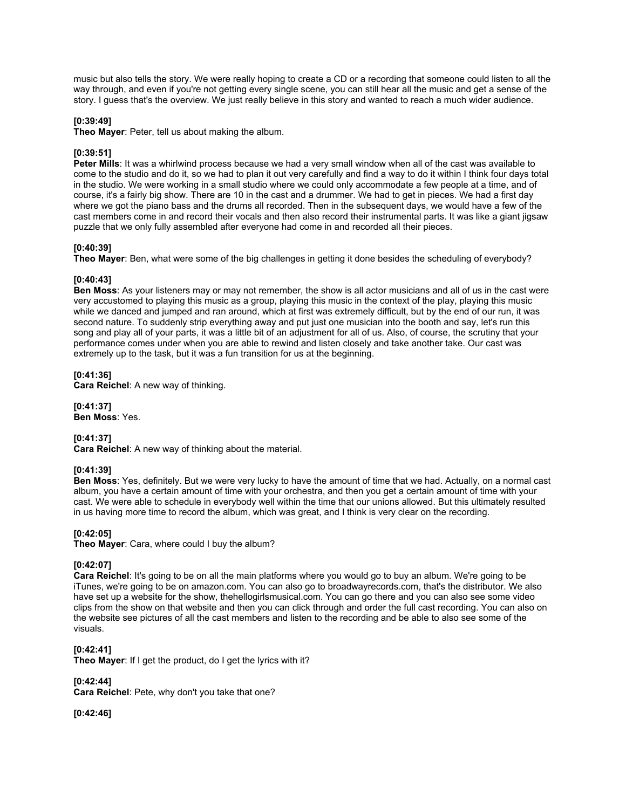music but also tells the story. We were really hoping to create a CD or a recording that someone could listen to all the way through, and even if you're not getting every single scene, you can still hear all the music and get a sense of the story. I guess that's the overview. We just really believe in this story and wanted to reach a much wider audience.

# **[0:39:49]**

**Theo Mayer**: Peter, tell us about making the album.

# **[0:39:51]**

**Peter Mills**: It was a whirlwind process because we had a very small window when all of the cast was available to come to the studio and do it, so we had to plan it out very carefully and find a way to do it within I think four days total in the studio. We were working in a small studio where we could only accommodate a few people at a time, and of course, it's a fairly big show. There are 10 in the cast and a drummer. We had to get in pieces. We had a first day where we got the piano bass and the drums all recorded. Then in the subsequent days, we would have a few of the cast members come in and record their vocals and then also record their instrumental parts. It was like a giant jigsaw puzzle that we only fully assembled after everyone had come in and recorded all their pieces.

# **[0:40:39]**

**Theo Mayer**: Ben, what were some of the big challenges in getting it done besides the scheduling of everybody?

## **[0:40:43]**

**Ben Moss**: As your listeners may or may not remember, the show is all actor musicians and all of us in the cast were very accustomed to playing this music as a group, playing this music in the context of the play, playing this music while we danced and jumped and ran around, which at first was extremely difficult, but by the end of our run, it was second nature. To suddenly strip everything away and put just one musician into the booth and say, let's run this song and play all of your parts, it was a little bit of an adjustment for all of us. Also, of course, the scrutiny that your performance comes under when you are able to rewind and listen closely and take another take. Our cast was extremely up to the task, but it was a fun transition for us at the beginning.

# **[0:41:36]**

**Cara Reichel**: A new way of thinking.

**[0:41:37] Ben Moss**: Yes.

# **[0:41:37]**

**Cara Reichel**: A new way of thinking about the material.

# **[0:41:39]**

**Ben Moss**: Yes, definitely. But we were very lucky to have the amount of time that we had. Actually, on a normal cast album, you have a certain amount of time with your orchestra, and then you get a certain amount of time with your cast. We were able to schedule in everybody well within the time that our unions allowed. But this ultimately resulted in us having more time to record the album, which was great, and I think is very clear on the recording.

# **[0:42:05]**

**Theo Mayer**: Cara, where could I buy the album?

# **[0:42:07]**

**Cara Reichel**: It's going to be on all the main platforms where you would go to buy an album. We're going to be iTunes, we're going to be on amazon.com. You can also go to broadwayrecords.com, that's the distributor. We also have set up a website for the show, thehellogirlsmusical.com. You can go there and you can also see some video clips from the show on that website and then you can click through and order the full cast recording. You can also on the website see pictures of all the cast members and listen to the recording and be able to also see some of the visuals.

# **[0:42:41]**

**Theo Mayer**: If I get the product, do I get the lyrics with it?

**[0:42:44]**

**Cara Reichel**: Pete, why don't you take that one?

**[0:42:46]**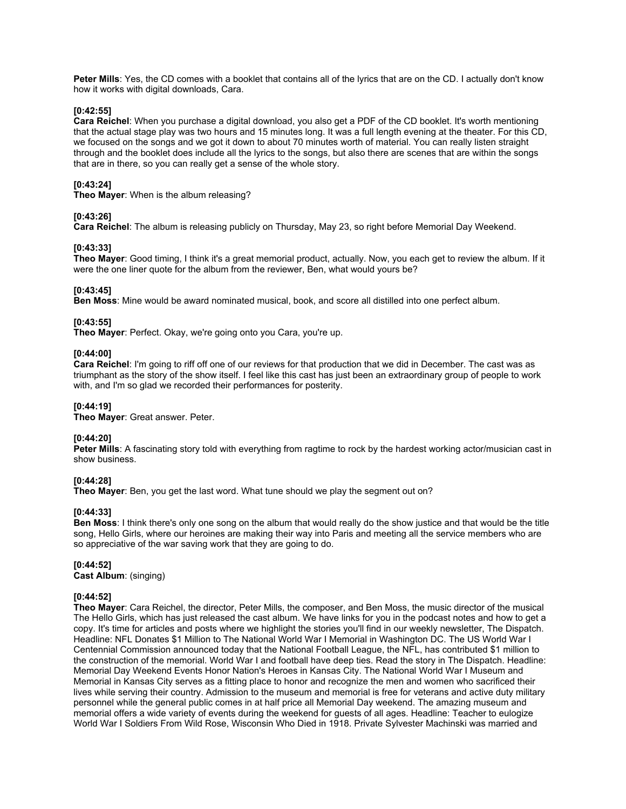**Peter Mills**: Yes, the CD comes with a booklet that contains all of the lyrics that are on the CD. I actually don't know how it works with digital downloads, Cara.

### **[0:42:55]**

**Cara Reichel**: When you purchase a digital download, you also get a PDF of the CD booklet. It's worth mentioning that the actual stage play was two hours and 15 minutes long. It was a full length evening at the theater. For this CD, we focused on the songs and we got it down to about 70 minutes worth of material. You can really listen straight through and the booklet does include all the lyrics to the songs, but also there are scenes that are within the songs that are in there, so you can really get a sense of the whole story.

# **[0:43:24]**

**Theo Mayer**: When is the album releasing?

### **[0:43:26]**

**Cara Reichel**: The album is releasing publicly on Thursday, May 23, so right before Memorial Day Weekend.

### **[0:43:33]**

**Theo Mayer**: Good timing, I think it's a great memorial product, actually. Now, you each get to review the album. If it were the one liner quote for the album from the reviewer, Ben, what would yours be?

### **[0:43:45]**

**Ben Moss**: Mine would be award nominated musical, book, and score all distilled into one perfect album.

## **[0:43:55]**

**Theo Mayer**: Perfect. Okay, we're going onto you Cara, you're up.

### **[0:44:00]**

**Cara Reichel**: I'm going to riff off one of our reviews for that production that we did in December. The cast was as triumphant as the story of the show itself. I feel like this cast has just been an extraordinary group of people to work with, and I'm so glad we recorded their performances for posterity.

## **[0:44:19]**

**Theo Mayer**: Great answer. Peter.

## **[0:44:20]**

**Peter Mills**: A fascinating story told with everything from ragtime to rock by the hardest working actor/musician cast in show business.

## **[0:44:28]**

**Theo Mayer**: Ben, you get the last word. What tune should we play the segment out on?

#### **[0:44:33]**

**Ben Moss**: I think there's only one song on the album that would really do the show justice and that would be the title song, Hello Girls, where our heroines are making their way into Paris and meeting all the service members who are so appreciative of the war saving work that they are going to do.

#### **[0:44:52]**

**Cast Album**: (singing)

## **[0:44:52]**

**Theo Mayer**: Cara Reichel, the director, Peter Mills, the composer, and Ben Moss, the music director of the musical The Hello Girls, which has just released the cast album. We have links for you in the podcast notes and how to get a copy. It's time for articles and posts where we highlight the stories you'll find in our weekly newsletter, The Dispatch. Headline: NFL Donates \$1 Million to The National World War I Memorial in Washington DC. The US World War I Centennial Commission announced today that the National Football League, the NFL, has contributed \$1 million to the construction of the memorial. World War I and football have deep ties. Read the story in The Dispatch. Headline: Memorial Day Weekend Events Honor Nation's Heroes in Kansas City. The National World War I Museum and Memorial in Kansas City serves as a fitting place to honor and recognize the men and women who sacrificed their lives while serving their country. Admission to the museum and memorial is free for veterans and active duty military personnel while the general public comes in at half price all Memorial Day weekend. The amazing museum and memorial offers a wide variety of events during the weekend for guests of all ages. Headline: Teacher to eulogize World War I Soldiers From Wild Rose, Wisconsin Who Died in 1918. Private Sylvester Machinski was married and